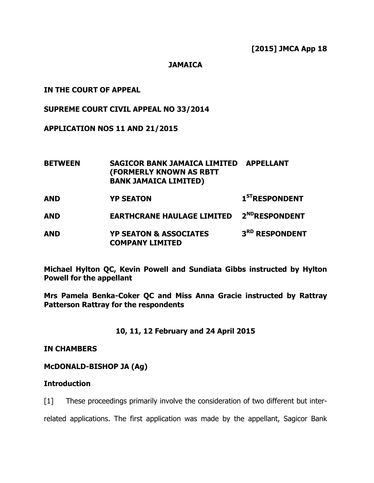## **JAMAICA**

# **IN THE COURT OF APPEAL**

## **SUPREME COURT CIVIL APPEAL NO 33/2014**

**APPLICATION NOS 11 AND 21/2015** 

| <b>BETWEEN</b> | <b>SAGICOR BANK JAMAICA LIMITED</b><br>(FORMERLY KNOWN AS RBTT<br><b>BANK JAMAICA LIMITED)</b> | <b>APPELLANT</b>           |
|----------------|------------------------------------------------------------------------------------------------|----------------------------|
| <b>AND</b>     | <b>YP SEATON</b>                                                                               | $1ST$ RESPONDENT           |
| <b>AND</b>     | <b>EARTHCRANE HAULAGE LIMITED</b>                                                              | 2 <sup>ND</sup> RESPONDENT |
| <b>AND</b>     | <b>YP SEATON &amp; ASSOCIATES</b><br><b>COMPANY LIMITED</b>                                    | 3RD RESPONDENT             |

**Michael Hylton QC, Kevin Powell and Sundiata Gibbs instructed by Hylton Powell for the appellant** 

**Mrs Pamela Benka-Coker QC and Miss Anna Gracie instructed by Rattray Patterson Rattray for the respondents** 

## **10, 11, 12 February and 24 April 2015**

## **IN CHAMBERS**

## **McDONALD-BISHOP JA (Ag)**

# **Introduction**

[1] These proceedings primarily involve the consideration of two different but inter-

related applications. The first application was made by the appellant, Sagicor Bank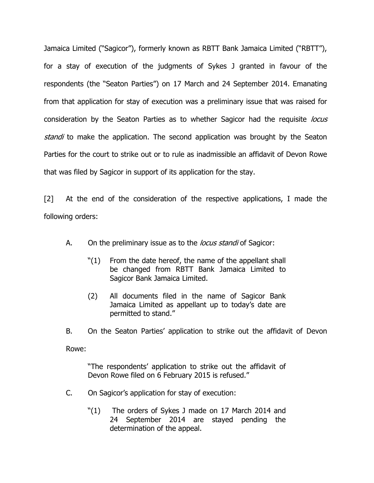Jamaica Limited ("Sagicor"), formerly known as RBTT Bank Jamaica Limited ("RBTT"), for a stay of execution of the judgments of Sykes J granted in favour of the respondents (the "Seaton Parties") on 17 March and 24 September 2014. Emanating from that application for stay of execution was a preliminary issue that was raised for consideration by the Seaton Parties as to whether Sagicor had the requisite *locus* standi to make the application. The second application was brought by the Seaton Parties for the court to strike out or to rule as inadmissible an affidavit of Devon Rowe that was filed by Sagicor in support of its application for the stay.

[2] At the end of the consideration of the respective applications, I made the following orders:

- A. On the preliminary issue as to the *locus standi* of Sagicor:
	- "(1) From the date hereof, the name of the appellant shall be changed from RBTT Bank Jamaica Limited to Sagicor Bank Jamaica Limited.
	- (2) All documents filed in the name of Sagicor Bank Jamaica Limited as appellant up to today's date are permitted to stand."

B. On the Seaton Parties' application to strike out the affidavit of Devon Rowe:

"The respondents' application to strike out the affidavit of Devon Rowe filed on 6 February 2015 is refused."

- C. On Sagicor's application for stay of execution:
	- "(1) The orders of Sykes J made on 17 March 2014 and 24 September 2014 are stayed pending the determination of the appeal.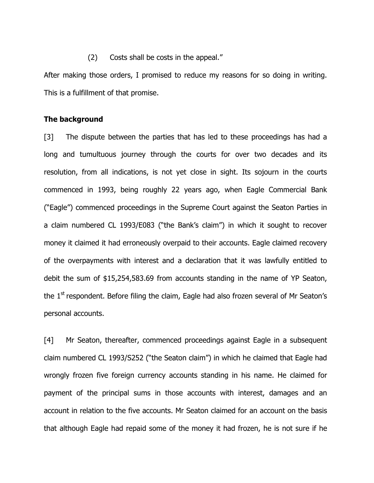## (2) Costs shall be costs in the appeal."

After making those orders, I promised to reduce my reasons for so doing in writing. This is a fulfillment of that promise.

## **The background**

[3] The dispute between the parties that has led to these proceedings has had a long and tumultuous journey through the courts for over two decades and its resolution, from all indications, is not yet close in sight. Its sojourn in the courts commenced in 1993, being roughly 22 years ago, when Eagle Commercial Bank ("Eagle") commenced proceedings in the Supreme Court against the Seaton Parties in a claim numbered CL 1993/E083 ("the Bank's claim") in which it sought to recover money it claimed it had erroneously overpaid to their accounts. Eagle claimed recovery of the overpayments with interest and a declaration that it was lawfully entitled to debit the sum of \$15,254,583.69 from accounts standing in the name of YP Seaton, the 1<sup>st</sup> respondent. Before filing the claim, Eagle had also frozen several of Mr Seaton's personal accounts.

[4] Mr Seaton, thereafter, commenced proceedings against Eagle in a subsequent claim numbered CL 1993/S252 ("the Seaton claim") in which he claimed that Eagle had wrongly frozen five foreign currency accounts standing in his name. He claimed for payment of the principal sums in those accounts with interest, damages and an account in relation to the five accounts. Mr Seaton claimed for an account on the basis that although Eagle had repaid some of the money it had frozen, he is not sure if he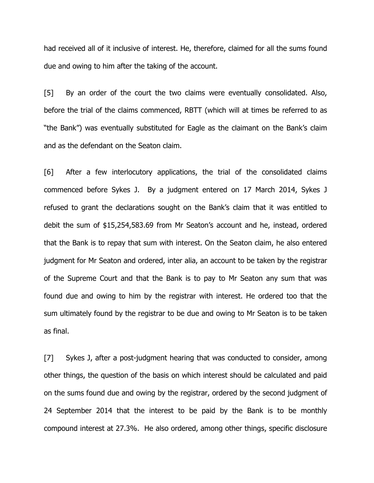had received all of it inclusive of interest. He, therefore, claimed for all the sums found due and owing to him after the taking of the account.

[5] By an order of the court the two claims were eventually consolidated. Also, before the trial of the claims commenced, RBTT (which will at times be referred to as "the Bank") was eventually substituted for Eagle as the claimant on the Bank's claim and as the defendant on the Seaton claim.

[6] After a few interlocutory applications, the trial of the consolidated claims commenced before Sykes J. By a judgment entered on 17 March 2014, Sykes J refused to grant the declarations sought on the Bank's claim that it was entitled to debit the sum of \$15,254,583.69 from Mr Seaton's account and he, instead, ordered that the Bank is to repay that sum with interest. On the Seaton claim, he also entered judgment for Mr Seaton and ordered, inter alia, an account to be taken by the registrar of the Supreme Court and that the Bank is to pay to Mr Seaton any sum that was found due and owing to him by the registrar with interest. He ordered too that the sum ultimately found by the registrar to be due and owing to Mr Seaton is to be taken as final.

[7] Sykes J, after a post-judgment hearing that was conducted to consider, among other things, the question of the basis on which interest should be calculated and paid on the sums found due and owing by the registrar, ordered by the second judgment of 24 September 2014 that the interest to be paid by the Bank is to be monthly compound interest at 27.3%. He also ordered, among other things, specific disclosure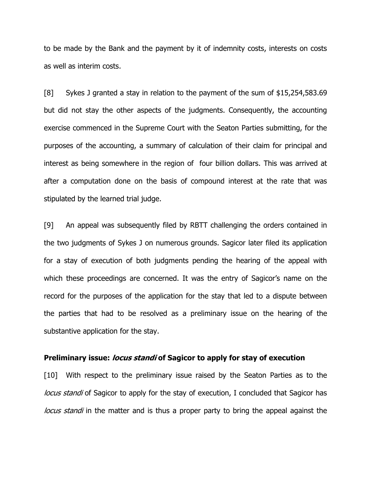to be made by the Bank and the payment by it of indemnity costs, interests on costs as well as interim costs.

[8] Sykes J granted a stay in relation to the payment of the sum of \$15,254,583.69 but did not stay the other aspects of the judgments. Consequently, the accounting exercise commenced in the Supreme Court with the Seaton Parties submitting, for the purposes of the accounting, a summary of calculation of their claim for principal and interest as being somewhere in the region of four billion dollars. This was arrived at after a computation done on the basis of compound interest at the rate that was stipulated by the learned trial judge.

[9] An appeal was subsequently filed by RBTT challenging the orders contained in the two judgments of Sykes J on numerous grounds. Sagicor later filed its application for a stay of execution of both judgments pending the hearing of the appeal with which these proceedings are concerned. It was the entry of Sagicor's name on the record for the purposes of the application for the stay that led to a dispute between the parties that had to be resolved as a preliminary issue on the hearing of the substantive application for the stay.

### **Preliminary issue: locus standi of Sagicor to apply for stay of execution**

[10] With respect to the preliminary issue raised by the Seaton Parties as to the locus standi of Sagicor to apply for the stay of execution, I concluded that Sagicor has locus standi in the matter and is thus a proper party to bring the appeal against the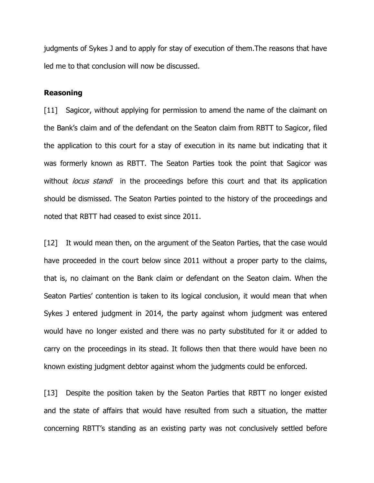judgments of Sykes J and to apply for stay of execution of them.The reasons that have led me to that conclusion will now be discussed.

## **Reasoning**

[11] Sagicor, without applying for permission to amend the name of the claimant on the Bank's claim and of the defendant on the Seaton claim from RBTT to Sagicor, filed the application to this court for a stay of execution in its name but indicating that it was formerly known as RBTT. The Seaton Parties took the point that Sagicor was without *locus standi* in the proceedings before this court and that its application should be dismissed. The Seaton Parties pointed to the history of the proceedings and noted that RBTT had ceased to exist since 2011.

[12] It would mean then, on the argument of the Seaton Parties, that the case would have proceeded in the court below since 2011 without a proper party to the claims, that is, no claimant on the Bank claim or defendant on the Seaton claim. When the Seaton Parties' contention is taken to its logical conclusion, it would mean that when Sykes J entered judgment in 2014, the party against whom judgment was entered would have no longer existed and there was no party substituted for it or added to carry on the proceedings in its stead. It follows then that there would have been no known existing judgment debtor against whom the judgments could be enforced.

[13] Despite the position taken by the Seaton Parties that RBTT no longer existed and the state of affairs that would have resulted from such a situation, the matter concerning RBTT's standing as an existing party was not conclusively settled before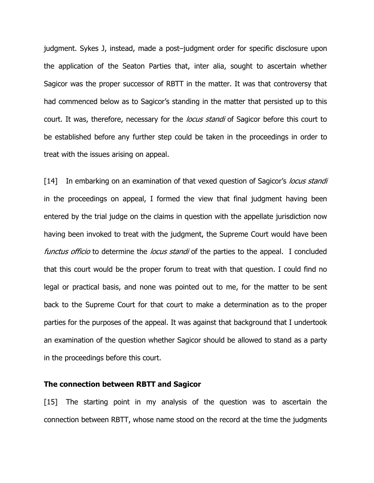judgment. Sykes J, instead, made a post–judgment order for specific disclosure upon the application of the Seaton Parties that, inter alia, sought to ascertain whether Sagicor was the proper successor of RBTT in the matter. It was that controversy that had commenced below as to Sagicor's standing in the matter that persisted up to this court. It was, therefore, necessary for the *locus standi* of Sagicor before this court to be established before any further step could be taken in the proceedings in order to treat with the issues arising on appeal.

[14] In embarking on an examination of that vexed question of Sagicor's locus standi in the proceedings on appeal, I formed the view that final judgment having been entered by the trial judge on the claims in question with the appellate jurisdiction now having been invoked to treat with the judgment, the Supreme Court would have been functus officio to determine the *locus standi* of the parties to the appeal. I concluded that this court would be the proper forum to treat with that question. I could find no legal or practical basis, and none was pointed out to me, for the matter to be sent back to the Supreme Court for that court to make a determination as to the proper parties for the purposes of the appeal. It was against that background that I undertook an examination of the question whether Sagicor should be allowed to stand as a party in the proceedings before this court.

### **The connection between RBTT and Sagicor**

[15] The starting point in my analysis of the question was to ascertain the connection between RBTT, whose name stood on the record at the time the judgments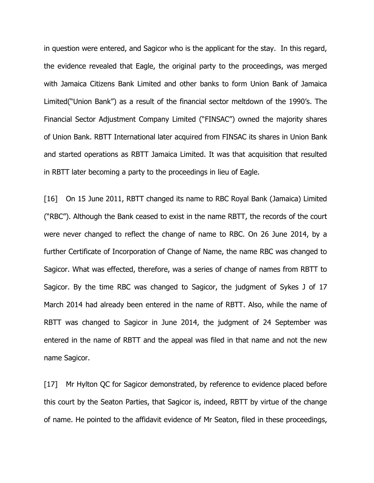in question were entered, and Sagicor who is the applicant for the stay. In this regard, the evidence revealed that Eagle, the original party to the proceedings, was merged with Jamaica Citizens Bank Limited and other banks to form Union Bank of Jamaica Limited("Union Bank") as a result of the financial sector meltdown of the 1990's. The Financial Sector Adjustment Company Limited ("FINSAC") owned the majority shares of Union Bank. RBTT International later acquired from FINSAC its shares in Union Bank and started operations as RBTT Jamaica Limited. It was that acquisition that resulted in RBTT later becoming a party to the proceedings in lieu of Eagle.

[16] On 15 June 2011, RBTT changed its name to RBC Royal Bank (Jamaica) Limited ("RBC"). Although the Bank ceased to exist in the name RBTT, the records of the court were never changed to reflect the change of name to RBC. On 26 June 2014, by a further Certificate of Incorporation of Change of Name, the name RBC was changed to Sagicor. What was effected, therefore, was a series of change of names from RBTT to Sagicor. By the time RBC was changed to Sagicor, the judgment of Sykes J of 17 March 2014 had already been entered in the name of RBTT. Also, while the name of RBTT was changed to Sagicor in June 2014, the judgment of 24 September was entered in the name of RBTT and the appeal was filed in that name and not the new name Sagicor.

[17] Mr Hylton QC for Sagicor demonstrated, by reference to evidence placed before this court by the Seaton Parties, that Sagicor is, indeed, RBTT by virtue of the change of name. He pointed to the affidavit evidence of Mr Seaton, filed in these proceedings,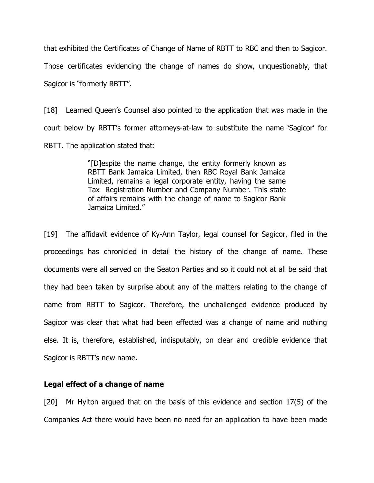that exhibited the Certificates of Change of Name of RBTT to RBC and then to Sagicor. Those certificates evidencing the change of names do show, unquestionably, that Sagicor is "formerly RBTT".

[18] Learned Queen's Counsel also pointed to the application that was made in the court below by RBTT's former attorneys-at-law to substitute the name 'Sagicor' for RBTT. The application stated that:

> "[D]espite the name change, the entity formerly known as RBTT Bank Jamaica Limited, then RBC Royal Bank Jamaica Limited, remains a legal corporate entity, having the same Tax Registration Number and Company Number. This state of affairs remains with the change of name to Sagicor Bank Jamaica Limited."

[19] The affidavit evidence of Ky-Ann Taylor, legal counsel for Sagicor, filed in the proceedings has chronicled in detail the history of the change of name. These documents were all served on the Seaton Parties and so it could not at all be said that they had been taken by surprise about any of the matters relating to the change of name from RBTT to Sagicor. Therefore, the unchallenged evidence produced by Sagicor was clear that what had been effected was a change of name and nothing else. It is, therefore, established, indisputably, on clear and credible evidence that Sagicor is RBTT's new name.

#### **Legal effect of a change of name**

[20] Mr Hylton argued that on the basis of this evidence and section 17(5) of the Companies Act there would have been no need for an application to have been made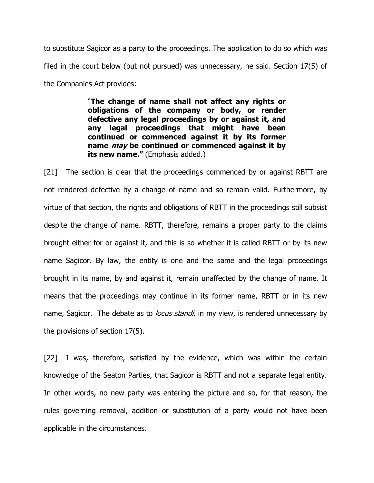to substitute Sagicor as a party to the proceedings. The application to do so which was filed in the court below (but not pursued) was unnecessary, he said. Section 17(5) of the Companies Act provides:

> "**The change of name shall not affect any rights or obligations of the company or body, or render defective any legal proceedings by or against it, and any legal proceedings that might have been continued or commenced against it by its former name may be continued or commenced against it by its new name."** (Emphasis added.)

[21] The section is clear that the proceedings commenced by or against RBTT are not rendered defective by a change of name and so remain valid. Furthermore, by virtue of that section, the rights and obligations of RBTT in the proceedings still subsist despite the change of name. RBTT, therefore, remains a proper party to the claims brought either for or against it, and this is so whether it is called RBTT or by its new name Sagicor. By law, the entity is one and the same and the legal proceedings brought in its name, by and against it, remain unaffected by the change of name. It means that the proceedings may continue in its former name, RBTT or in its new name, Sagicor. The debate as to *locus standi*, in my view, is rendered unnecessary by the provisions of section 17(5).

[22] I was, therefore, satisfied by the evidence, which was within the certain knowledge of the Seaton Parties, that Sagicor is RBTT and not a separate legal entity. In other words, no new party was entering the picture and so, for that reason, the rules governing removal, addition or substitution of a party would not have been applicable in the circumstances.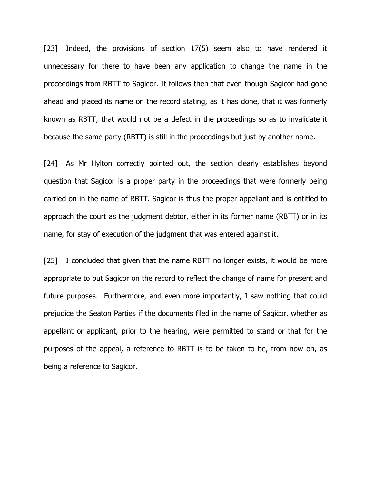[23] Indeed, the provisions of section 17(5) seem also to have rendered it unnecessary for there to have been any application to change the name in the proceedings from RBTT to Sagicor. It follows then that even though Sagicor had gone ahead and placed its name on the record stating, as it has done, that it was formerly known as RBTT, that would not be a defect in the proceedings so as to invalidate it because the same party (RBTT) is still in the proceedings but just by another name.

[24] As Mr Hylton correctly pointed out, the section clearly establishes beyond question that Sagicor is a proper party in the proceedings that were formerly being carried on in the name of RBTT. Sagicor is thus the proper appellant and is entitled to approach the court as the judgment debtor, either in its former name (RBTT) or in its name, for stay of execution of the judgment that was entered against it.

[25] I concluded that given that the name RBTT no longer exists, it would be more appropriate to put Sagicor on the record to reflect the change of name for present and future purposes. Furthermore, and even more importantly, I saw nothing that could prejudice the Seaton Parties if the documents filed in the name of Sagicor, whether as appellant or applicant, prior to the hearing, were permitted to stand or that for the purposes of the appeal, a reference to RBTT is to be taken to be, from now on, as being a reference to Sagicor.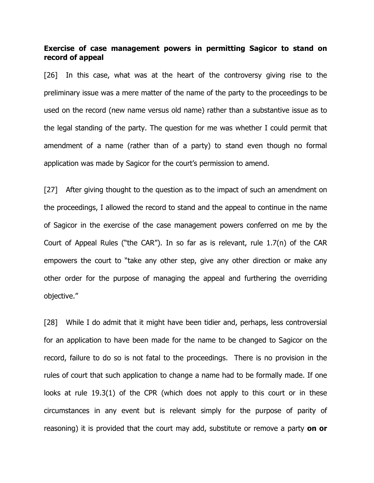## **Exercise of case management powers in permitting Sagicor to stand on record of appeal**

[26] In this case, what was at the heart of the controversy giving rise to the preliminary issue was a mere matter of the name of the party to the proceedings to be used on the record (new name versus old name) rather than a substantive issue as to the legal standing of the party. The question for me was whether I could permit that amendment of a name (rather than of a party) to stand even though no formal application was made by Sagicor for the court's permission to amend.

[27] After giving thought to the question as to the impact of such an amendment on the proceedings, I allowed the record to stand and the appeal to continue in the name of Sagicor in the exercise of the case management powers conferred on me by the Court of Appeal Rules ("the CAR"). In so far as is relevant, rule 1.7(n) of the CAR empowers the court to "take any other step, give any other direction or make any other order for the purpose of managing the appeal and furthering the overriding objective."

[28] While I do admit that it might have been tidier and, perhaps, less controversial for an application to have been made for the name to be changed to Sagicor on the record, failure to do so is not fatal to the proceedings. There is no provision in the rules of court that such application to change a name had to be formally made. If one looks at rule 19.3(1) of the CPR (which does not apply to this court or in these circumstances in any event but is relevant simply for the purpose of parity of reasoning) it is provided that the court may add, substitute or remove a party **on or**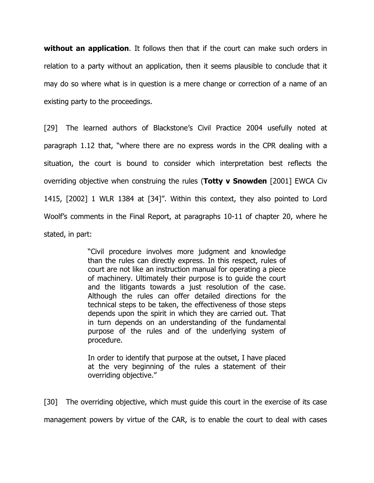**without an application**. It follows then that if the court can make such orders in relation to a party without an application, then it seems plausible to conclude that it may do so where what is in question is a mere change or correction of a name of an existing party to the proceedings.

[29] The learned authors of Blackstone's Civil Practice 2004 usefully noted at paragraph 1.12 that, "where there are no express words in the CPR dealing with a situation, the court is bound to consider which interpretation best reflects the overriding objective when construing the rules (**Totty v Snowden** [2001] EWCA Civ 1415, [2002] 1 WLR 1384 at [34]". Within this context, they also pointed to Lord Woolf's comments in the Final Report, at paragraphs 10-11 of chapter 20, where he stated, in part:

> "Civil procedure involves more judgment and knowledge than the rules can directly express. In this respect, rules of court are not like an instruction manual for operating a piece of machinery. Ultimately their purpose is to guide the court and the litigants towards a just resolution of the case. Although the rules can offer detailed directions for the technical steps to be taken, the effectiveness of those steps depends upon the spirit in which they are carried out. That in turn depends on an understanding of the fundamental purpose of the rules and of the underlying system of procedure.

> In order to identify that purpose at the outset, I have placed at the very beginning of the rules a statement of their overriding objective."

[30] The overriding objective, which must guide this court in the exercise of its case management powers by virtue of the CAR, is to enable the court to deal with cases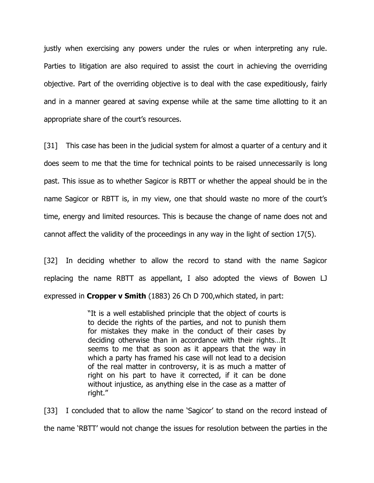justly when exercising any powers under the rules or when interpreting any rule. Parties to litigation are also required to assist the court in achieving the overriding objective. Part of the overriding objective is to deal with the case expeditiously, fairly and in a manner geared at saving expense while at the same time allotting to it an appropriate share of the court's resources.

[31] This case has been in the judicial system for almost a quarter of a century and it does seem to me that the time for technical points to be raised unnecessarily is long past. This issue as to whether Sagicor is RBTT or whether the appeal should be in the name Sagicor or RBTT is, in my view, one that should waste no more of the court's time, energy and limited resources. This is because the change of name does not and cannot affect the validity of the proceedings in any way in the light of section 17(5).

[32] In deciding whether to allow the record to stand with the name Sagicor replacing the name RBTT as appellant, I also adopted the views of Bowen LJ expressed in **Cropper v Smith** (1883) 26 Ch D 700,which stated, in part:

> "It is a well established principle that the object of courts is to decide the rights of the parties, and not to punish them for mistakes they make in the conduct of their cases by deciding otherwise than in accordance with their rights…It seems to me that as soon as it appears that the way in which a party has framed his case will not lead to a decision of the real matter in controversy, it is as much a matter of right on his part to have it corrected, if it can be done without injustice, as anything else in the case as a matter of right."

[33] I concluded that to allow the name 'Sagicor' to stand on the record instead of the name 'RBTT' would not change the issues for resolution between the parties in the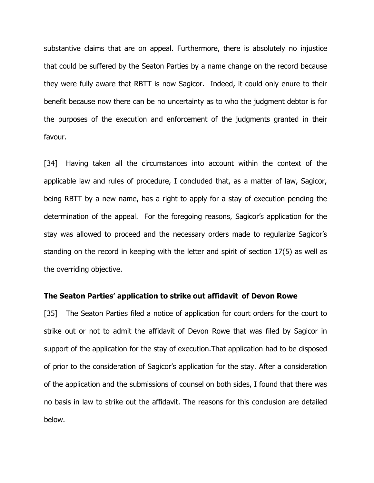substantive claims that are on appeal. Furthermore, there is absolutely no injustice that could be suffered by the Seaton Parties by a name change on the record because they were fully aware that RBTT is now Sagicor. Indeed, it could only enure to their benefit because now there can be no uncertainty as to who the judgment debtor is for the purposes of the execution and enforcement of the judgments granted in their favour.

[34] Having taken all the circumstances into account within the context of the applicable law and rules of procedure, I concluded that, as a matter of law, Sagicor, being RBTT by a new name, has a right to apply for a stay of execution pending the determination of the appeal. For the foregoing reasons, Sagicor's application for the stay was allowed to proceed and the necessary orders made to regularize Sagicor's standing on the record in keeping with the letter and spirit of section 17(5) as well as the overriding objective.

#### **The Seaton Parties' application to strike out affidavit of Devon Rowe**

[35] The Seaton Parties filed a notice of application for court orders for the court to strike out or not to admit the affidavit of Devon Rowe that was filed by Sagicor in support of the application for the stay of execution.That application had to be disposed of prior to the consideration of Sagicor's application for the stay. After a consideration of the application and the submissions of counsel on both sides, I found that there was no basis in law to strike out the affidavit. The reasons for this conclusion are detailed below.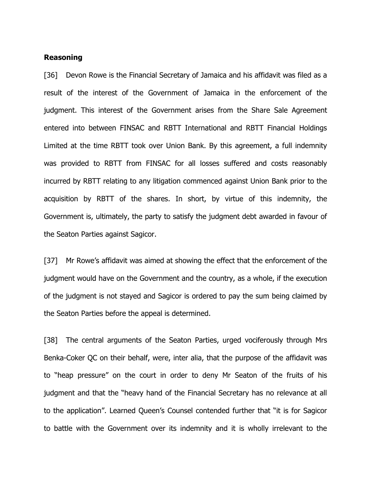## **Reasoning**

[36] Devon Rowe is the Financial Secretary of Jamaica and his affidavit was filed as a result of the interest of the Government of Jamaica in the enforcement of the judgment. This interest of the Government arises from the Share Sale Agreement entered into between FINSAC and RBTT International and RBTT Financial Holdings Limited at the time RBTT took over Union Bank. By this agreement, a full indemnity was provided to RBTT from FINSAC for all losses suffered and costs reasonably incurred by RBTT relating to any litigation commenced against Union Bank prior to the acquisition by RBTT of the shares. In short, by virtue of this indemnity, the Government is, ultimately, the party to satisfy the judgment debt awarded in favour of the Seaton Parties against Sagicor.

[37] Mr Rowe's affidavit was aimed at showing the effect that the enforcement of the judgment would have on the Government and the country, as a whole, if the execution of the judgment is not stayed and Sagicor is ordered to pay the sum being claimed by the Seaton Parties before the appeal is determined.

[38] The central arguments of the Seaton Parties, urged vociferously through Mrs Benka-Coker QC on their behalf, were, inter alia, that the purpose of the affidavit was to "heap pressure" on the court in order to deny Mr Seaton of the fruits of his judgment and that the "heavy hand of the Financial Secretary has no relevance at all to the application". Learned Queen's Counsel contended further that "it is for Sagicor to battle with the Government over its indemnity and it is wholly irrelevant to the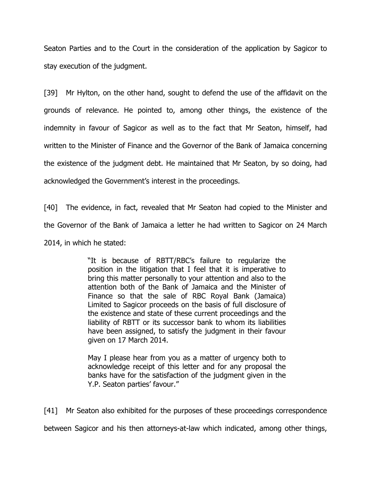Seaton Parties and to the Court in the consideration of the application by Sagicor to stay execution of the judgment.

[39] Mr Hylton, on the other hand, sought to defend the use of the affidavit on the grounds of relevance. He pointed to, among other things, the existence of the indemnity in favour of Sagicor as well as to the fact that Mr Seaton, himself, had written to the Minister of Finance and the Governor of the Bank of Jamaica concerning the existence of the judgment debt. He maintained that Mr Seaton, by so doing, had acknowledged the Government's interest in the proceedings.

[40] The evidence, in fact, revealed that Mr Seaton had copied to the Minister and the Governor of the Bank of Jamaica a letter he had written to Sagicor on 24 March 2014, in which he stated:

> "It is because of RBTT/RBC's failure to regularize the position in the litigation that I feel that it is imperative to bring this matter personally to your attention and also to the attention both of the Bank of Jamaica and the Minister of Finance so that the sale of RBC Royal Bank (Jamaica) Limited to Sagicor proceeds on the basis of full disclosure of the existence and state of these current proceedings and the liability of RBTT or its successor bank to whom its liabilities have been assigned, to satisfy the judgment in their favour given on 17 March 2014.

> May I please hear from you as a matter of urgency both to acknowledge receipt of this letter and for any proposal the banks have for the satisfaction of the judgment given in the Y.P. Seaton parties' favour."

[41] Mr Seaton also exhibited for the purposes of these proceedings correspondence between Sagicor and his then attorneys-at-law which indicated, among other things,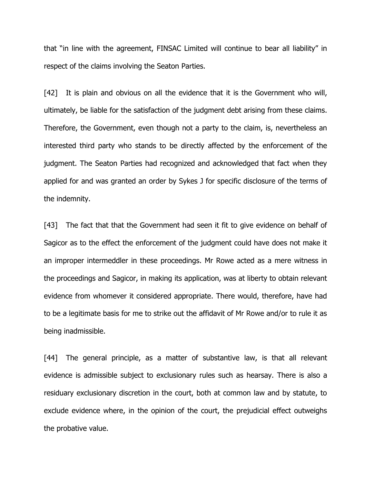that "in line with the agreement, FINSAC Limited will continue to bear all liability" in respect of the claims involving the Seaton Parties.

[42] It is plain and obvious on all the evidence that it is the Government who will, ultimately, be liable for the satisfaction of the judgment debt arising from these claims. Therefore, the Government, even though not a party to the claim, is, nevertheless an interested third party who stands to be directly affected by the enforcement of the judgment. The Seaton Parties had recognized and acknowledged that fact when they applied for and was granted an order by Sykes J for specific disclosure of the terms of the indemnity.

[43] The fact that that the Government had seen it fit to give evidence on behalf of Sagicor as to the effect the enforcement of the judgment could have does not make it an improper intermeddler in these proceedings. Mr Rowe acted as a mere witness in the proceedings and Sagicor, in making its application, was at liberty to obtain relevant evidence from whomever it considered appropriate. There would, therefore, have had to be a legitimate basis for me to strike out the affidavit of Mr Rowe and/or to rule it as being inadmissible.

[44] The general principle, as a matter of substantive law, is that all relevant evidence is admissible subject to exclusionary rules such as hearsay. There is also a residuary exclusionary discretion in the court, both at common law and by statute, to exclude evidence where, in the opinion of the court, the prejudicial effect outweighs the probative value.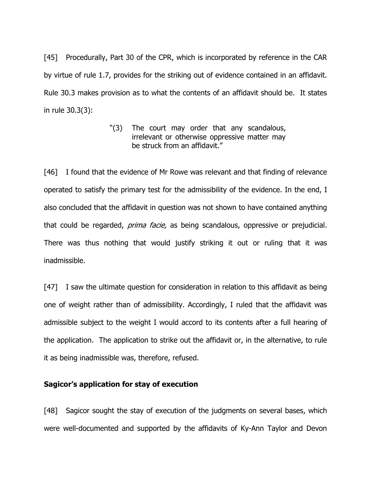[45] Procedurally, Part 30 of the CPR, which is incorporated by reference in the CAR by virtue of rule 1.7, provides for the striking out of evidence contained in an affidavit. Rule 30.3 makes provision as to what the contents of an affidavit should be. It states in rule 30.3(3):

# "(3) The court may order that any scandalous, irrelevant or otherwise oppressive matter may be struck from an affidavit."

[46] I found that the evidence of Mr Rowe was relevant and that finding of relevance operated to satisfy the primary test for the admissibility of the evidence. In the end, I also concluded that the affidavit in question was not shown to have contained anything that could be regarded, *prima facie*, as being scandalous, oppressive or prejudicial. There was thus nothing that would justify striking it out or ruling that it was inadmissible.

[47] I saw the ultimate question for consideration in relation to this affidavit as being one of weight rather than of admissibility. Accordingly, I ruled that the affidavit was admissible subject to the weight I would accord to its contents after a full hearing of the application. The application to strike out the affidavit or, in the alternative, to rule it as being inadmissible was, therefore, refused.

### **Sagicor's application for stay of execution**

[48] Sagicor sought the stay of execution of the judgments on several bases, which were well-documented and supported by the affidavits of Ky-Ann Taylor and Devon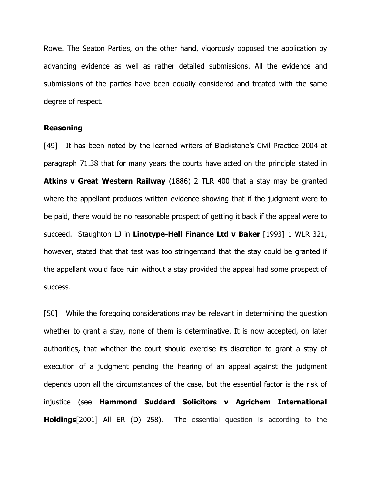Rowe. The Seaton Parties, on the other hand, vigorously opposed the application by advancing evidence as well as rather detailed submissions. All the evidence and submissions of the parties have been equally considered and treated with the same degree of respect.

### **Reasoning**

[49] It has been noted by the learned writers of Blackstone's Civil Practice 2004 at paragraph 71.38 that for many years the courts have acted on the principle stated in **Atkins v Great Western Railway** (1886) 2 TLR 400 that a stay may be granted where the appellant produces written evidence showing that if the judgment were to be paid, there would be no reasonable prospect of getting it back if the appeal were to succeed. Staughton LJ in **Linotype-Hell Finance Ltd v Baker** [1993] 1 WLR 321, however, stated that that test was too stringentand that the stay could be granted if the appellant would face ruin without a stay provided the appeal had some prospect of success.

[50] While the foregoing considerations may be relevant in determining the question whether to grant a stay, none of them is determinative. It is now accepted, on later authorities, that whether the court should exercise its discretion to grant a stay of execution of a judgment pending the hearing of an appeal against the judgment depends upon all the circumstances of the case, but the essential factor is the risk of injustice (see **Hammond Suddard Solicitors v Agrichem International Holdings**[2001] All ER (D) 258). The essential question is according to the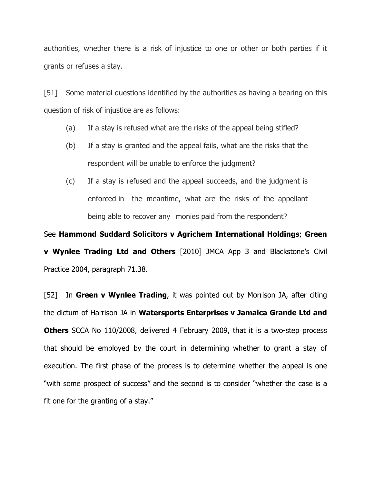authorities, whether there is a risk of injustice to one or other or both parties if it grants or refuses a stay.

[51] Some material questions identified by the authorities as having a bearing on this question of risk of injustice are as follows:

- (a) If a stay is refused what are the risks of the appeal being stifled?
- (b) If a stay is granted and the appeal fails, what are the risks that the respondent will be unable to enforce the judgment?
- (c) If a stay is refused and the appeal succeeds, and the judgment is enforced in the meantime, what are the risks of the appellant being able to recover any monies paid from the respondent?

See **Hammond Suddard Solicitors v Agrichem International Holdings**; **Green v Wynlee Trading Ltd and Others** [2010] JMCA App 3 and Blackstone's Civil Practice 2004, paragraph 71.38.

[52] In **Green v Wynlee Trading**, it was pointed out by Morrison JA, after citing the dictum of Harrison JA in **Watersports Enterprises v Jamaica Grande Ltd and Others** SCCA No 110/2008, delivered 4 February 2009, that it is a two-step process that should be employed by the court in determining whether to grant a stay of execution. The first phase of the process is to determine whether the appeal is one "with some prospect of success" and the second is to consider "whether the case is a fit one for the granting of a stay."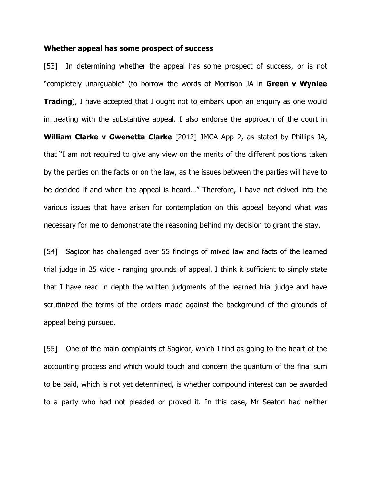#### **Whether appeal has some prospect of success**

[53] In determining whether the appeal has some prospect of success, or is not "completely unarguable" (to borrow the words of Morrison JA in **Green v Wynlee Trading**), I have accepted that I ought not to embark upon an enquiry as one would in treating with the substantive appeal. I also endorse the approach of the court in **William Clarke v Gwenetta Clarke** [2012] JMCA App 2, as stated by Phillips JA, that "I am not required to give any view on the merits of the different positions taken by the parties on the facts or on the law, as the issues between the parties will have to be decided if and when the appeal is heard…" Therefore, I have not delved into the various issues that have arisen for contemplation on this appeal beyond what was necessary for me to demonstrate the reasoning behind my decision to grant the stay.

[54] Sagicor has challenged over 55 findings of mixed law and facts of the learned trial judge in 25 wide - ranging grounds of appeal. I think it sufficient to simply state that I have read in depth the written judgments of the learned trial judge and have scrutinized the terms of the orders made against the background of the grounds of appeal being pursued.

[55] One of the main complaints of Sagicor, which I find as going to the heart of the accounting process and which would touch and concern the quantum of the final sum to be paid, which is not yet determined, is whether compound interest can be awarded to a party who had not pleaded or proved it. In this case, Mr Seaton had neither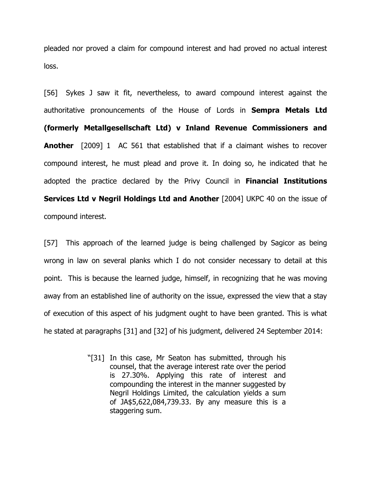pleaded nor proved a claim for compound interest and had proved no actual interest loss.

[56] Sykes J saw it fit, nevertheless, to award compound interest against the authoritative pronouncements of the House of Lords in **Sempra Metals Ltd (formerly Metallgesellschaft Ltd) v Inland Revenue Commissioners and Another** [2009] 1 AC 561 that established that if a claimant wishes to recover compound interest, he must plead and prove it. In doing so, he indicated that he adopted the practice declared by the Privy Council in **Financial Institutions Services Ltd v Negril Holdings Ltd and Another** [2004] UKPC 40 on the issue of compound interest.

[57] This approach of the learned judge is being challenged by Sagicor as being wrong in law on several planks which I do not consider necessary to detail at this point. This is because the learned judge, himself, in recognizing that he was moving away from an established line of authority on the issue, expressed the view that a stay of execution of this aspect of his judgment ought to have been granted. This is what he stated at paragraphs [31] and [32] of his judgment, delivered 24 September 2014:

> "[31] In this case, Mr Seaton has submitted, through his counsel, that the average interest rate over the period is 27.30%. Applying this rate of interest and compounding the interest in the manner suggested by Negril Holdings Limited, the calculation yields a sum of JA\$5,622,084,739.33. By any measure this is a staggering sum.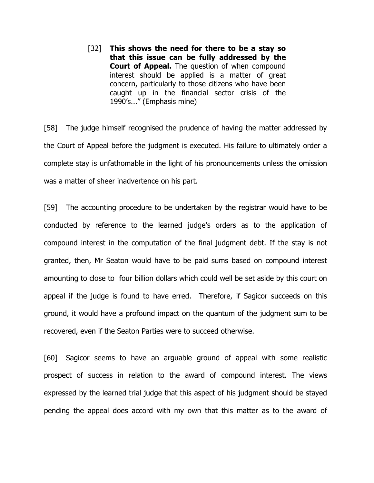[32] **This shows the need for there to be a stay so that this issue can be fully addressed by the Court of Appeal.** The question of when compound interest should be applied is a matter of great concern, particularly to those citizens who have been caught up in the financial sector crisis of the 1990's..." (Emphasis mine)

[58] The judge himself recognised the prudence of having the matter addressed by the Court of Appeal before the judgment is executed. His failure to ultimately order a complete stay is unfathomable in the light of his pronouncements unless the omission was a matter of sheer inadvertence on his part.

[59] The accounting procedure to be undertaken by the registrar would have to be conducted by reference to the learned judge's orders as to the application of compound interest in the computation of the final judgment debt. If the stay is not granted, then, Mr Seaton would have to be paid sums based on compound interest amounting to close to four billion dollars which could well be set aside by this court on appeal if the judge is found to have erred. Therefore, if Sagicor succeeds on this ground, it would have a profound impact on the quantum of the judgment sum to be recovered, even if the Seaton Parties were to succeed otherwise.

[60] Sagicor seems to have an arguable ground of appeal with some realistic prospect of success in relation to the award of compound interest. The views expressed by the learned trial judge that this aspect of his judgment should be stayed pending the appeal does accord with my own that this matter as to the award of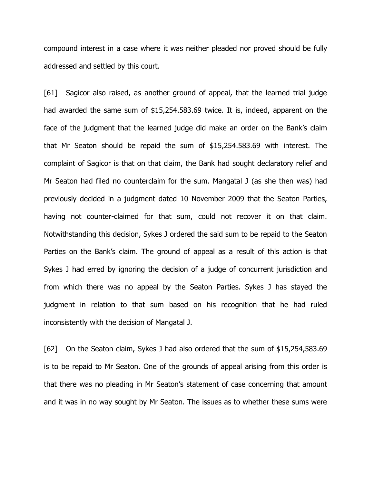compound interest in a case where it was neither pleaded nor proved should be fully addressed and settled by this court.

[61] Sagicor also raised, as another ground of appeal, that the learned trial judge had awarded the same sum of \$15,254.583.69 twice. It is, indeed, apparent on the face of the judgment that the learned judge did make an order on the Bank's claim that Mr Seaton should be repaid the sum of \$15,254.583.69 with interest. The complaint of Sagicor is that on that claim, the Bank had sought declaratory relief and Mr Seaton had filed no counterclaim for the sum. Mangatal J (as she then was) had previously decided in a judgment dated 10 November 2009 that the Seaton Parties, having not counter-claimed for that sum, could not recover it on that claim. Notwithstanding this decision, Sykes J ordered the said sum to be repaid to the Seaton Parties on the Bank's claim. The ground of appeal as a result of this action is that Sykes J had erred by ignoring the decision of a judge of concurrent jurisdiction and from which there was no appeal by the Seaton Parties. Sykes J has stayed the judgment in relation to that sum based on his recognition that he had ruled inconsistently with the decision of Mangatal J.

[62] On the Seaton claim, Sykes J had also ordered that the sum of \$15,254,583.69 is to be repaid to Mr Seaton. One of the grounds of appeal arising from this order is that there was no pleading in Mr Seaton's statement of case concerning that amount and it was in no way sought by Mr Seaton. The issues as to whether these sums were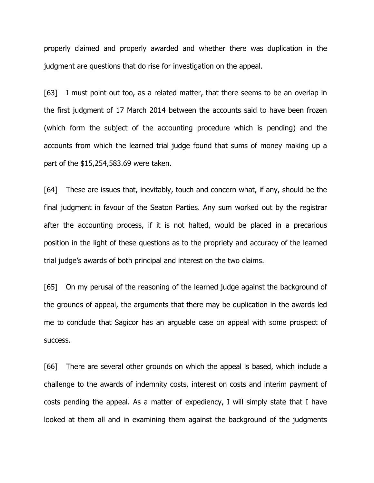properly claimed and properly awarded and whether there was duplication in the judgment are questions that do rise for investigation on the appeal.

[63] I must point out too, as a related matter, that there seems to be an overlap in the first judgment of 17 March 2014 between the accounts said to have been frozen (which form the subject of the accounting procedure which is pending) and the accounts from which the learned trial judge found that sums of money making up a part of the \$15,254,583.69 were taken.

[64] These are issues that, inevitably, touch and concern what, if any, should be the final judgment in favour of the Seaton Parties. Any sum worked out by the registrar after the accounting process, if it is not halted, would be placed in a precarious position in the light of these questions as to the propriety and accuracy of the learned trial judge's awards of both principal and interest on the two claims.

[65] On my perusal of the reasoning of the learned judge against the background of the grounds of appeal, the arguments that there may be duplication in the awards led me to conclude that Sagicor has an arguable case on appeal with some prospect of success.

[66] There are several other grounds on which the appeal is based, which include a challenge to the awards of indemnity costs, interest on costs and interim payment of costs pending the appeal. As a matter of expediency, I will simply state that I have looked at them all and in examining them against the background of the judgments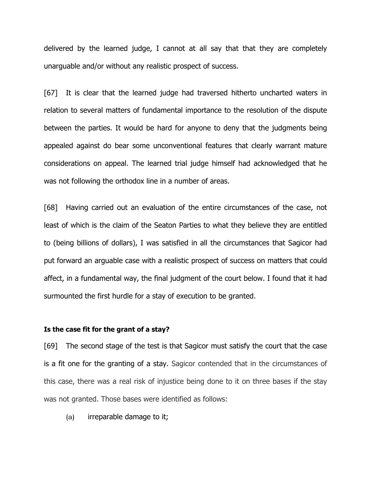delivered by the learned judge, I cannot at all say that that they are completely unarguable and/or without any realistic prospect of success.

[67] It is clear that the learned judge had traversed hitherto uncharted waters in relation to several matters of fundamental importance to the resolution of the dispute between the parties. It would be hard for anyone to deny that the judgments being appealed against do bear some unconventional features that clearly warrant mature considerations on appeal. The learned trial judge himself had acknowledged that he was not following the orthodox line in a number of areas.

[68] Having carried out an evaluation of the entire circumstances of the case, not least of which is the claim of the Seaton Parties to what they believe they are entitled to (being billions of dollars), I was satisfied in all the circumstances that Sagicor had put forward an arguable case with a realistic prospect of success on matters that could affect, in a fundamental way, the final judgment of the court below. I found that it had surmounted the first hurdle for a stay of execution to be granted.

## **Is the case fit for the grant of a stay?**

[69] The second stage of the test is that Sagicor must satisfy the court that the case is a fit one for the granting of a stay. Sagicor contended that in the circumstances of this case, there was a real risk of injustice being done to it on three bases if the stay was not granted. Those bases were identified as follows:

(a) irreparable damage to it;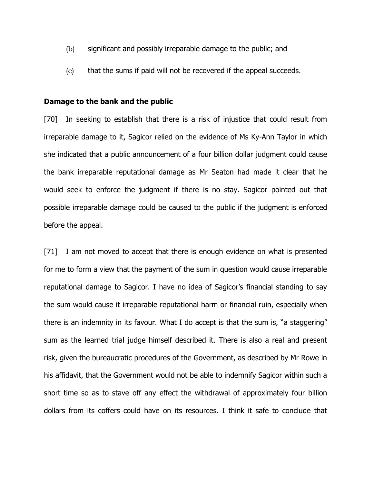- (b) significant and possibly irreparable damage to the public; and
- (c) that the sums if paid will not be recovered if the appeal succeeds.

## **Damage to the bank and the public**

[70] In seeking to establish that there is a risk of injustice that could result from irreparable damage to it, Sagicor relied on the evidence of Ms Ky-Ann Taylor in which she indicated that a public announcement of a four billion dollar judgment could cause the bank irreparable reputational damage as Mr Seaton had made it clear that he would seek to enforce the judgment if there is no stay. Sagicor pointed out that possible irreparable damage could be caused to the public if the judgment is enforced before the appeal.

[71] I am not moved to accept that there is enough evidence on what is presented for me to form a view that the payment of the sum in question would cause irreparable reputational damage to Sagicor. I have no idea of Sagicor's financial standing to say the sum would cause it irreparable reputational harm or financial ruin, especially when there is an indemnity in its favour. What I do accept is that the sum is, "a staggering" sum as the learned trial judge himself described it. There is also a real and present risk, given the bureaucratic procedures of the Government, as described by Mr Rowe in his affidavit, that the Government would not be able to indemnify Sagicor within such a short time so as to stave off any effect the withdrawal of approximately four billion dollars from its coffers could have on its resources. I think it safe to conclude that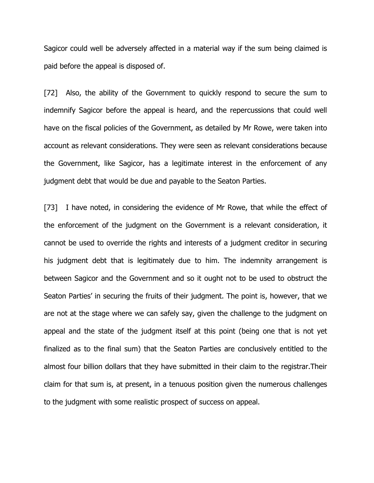Sagicor could well be adversely affected in a material way if the sum being claimed is paid before the appeal is disposed of.

[72] Also, the ability of the Government to quickly respond to secure the sum to indemnify Sagicor before the appeal is heard, and the repercussions that could well have on the fiscal policies of the Government, as detailed by Mr Rowe, were taken into account as relevant considerations. They were seen as relevant considerations because the Government, like Sagicor, has a legitimate interest in the enforcement of any judgment debt that would be due and payable to the Seaton Parties.

[73] I have noted, in considering the evidence of Mr Rowe, that while the effect of the enforcement of the judgment on the Government is a relevant consideration, it cannot be used to override the rights and interests of a judgment creditor in securing his judgment debt that is legitimately due to him. The indemnity arrangement is between Sagicor and the Government and so it ought not to be used to obstruct the Seaton Parties' in securing the fruits of their judgment. The point is, however, that we are not at the stage where we can safely say, given the challenge to the judgment on appeal and the state of the judgment itself at this point (being one that is not yet finalized as to the final sum) that the Seaton Parties are conclusively entitled to the almost four billion dollars that they have submitted in their claim to the registrar.Their claim for that sum is, at present, in a tenuous position given the numerous challenges to the judgment with some realistic prospect of success on appeal.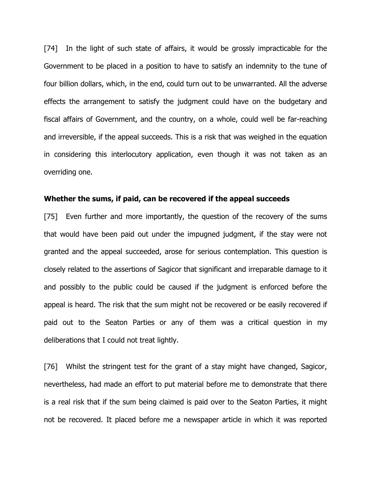[74] In the light of such state of affairs, it would be grossly impracticable for the Government to be placed in a position to have to satisfy an indemnity to the tune of four billion dollars, which, in the end, could turn out to be unwarranted. All the adverse effects the arrangement to satisfy the judgment could have on the budgetary and fiscal affairs of Government, and the country, on a whole, could well be far-reaching and irreversible, if the appeal succeeds. This is a risk that was weighed in the equation in considering this interlocutory application, even though it was not taken as an overriding one.

## **Whether the sums, if paid, can be recovered if the appeal succeeds**

[75] Even further and more importantly, the question of the recovery of the sums that would have been paid out under the impugned judgment, if the stay were not granted and the appeal succeeded, arose for serious contemplation. This question is closely related to the assertions of Sagicor that significant and irreparable damage to it and possibly to the public could be caused if the judgment is enforced before the appeal is heard. The risk that the sum might not be recovered or be easily recovered if paid out to the Seaton Parties or any of them was a critical question in my deliberations that I could not treat lightly.

[76] Whilst the stringent test for the grant of a stay might have changed, Sagicor, nevertheless, had made an effort to put material before me to demonstrate that there is a real risk that if the sum being claimed is paid over to the Seaton Parties, it might not be recovered. It placed before me a newspaper article in which it was reported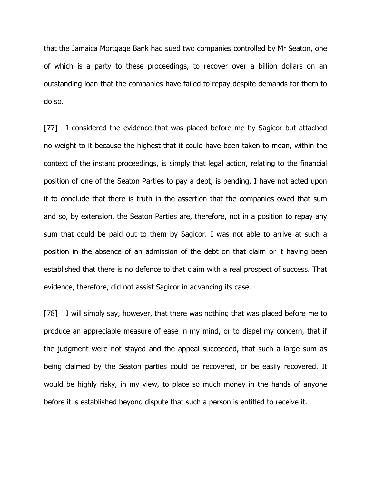that the Jamaica Mortgage Bank had sued two companies controlled by Mr Seaton, one of which is a party to these proceedings, to recover over a billion dollars on an outstanding loan that the companies have failed to repay despite demands for them to do so.

[77] I considered the evidence that was placed before me by Sagicor but attached no weight to it because the highest that it could have been taken to mean, within the context of the instant proceedings, is simply that legal action, relating to the financial position of one of the Seaton Parties to pay a debt, is pending. I have not acted upon it to conclude that there is truth in the assertion that the companies owed that sum and so, by extension, the Seaton Parties are, therefore, not in a position to repay any sum that could be paid out to them by Sagicor. I was not able to arrive at such a position in the absence of an admission of the debt on that claim or it having been established that there is no defence to that claim with a real prospect of success. That evidence, therefore, did not assist Sagicor in advancing its case.

[78] I will simply say, however, that there was nothing that was placed before me to produce an appreciable measure of ease in my mind, or to dispel my concern, that if the judgment were not stayed and the appeal succeeded, that such a large sum as being claimed by the Seaton parties could be recovered, or be easily recovered. It would be highly risky, in my view, to place so much money in the hands of anyone before it is established beyond dispute that such a person is entitled to receive it.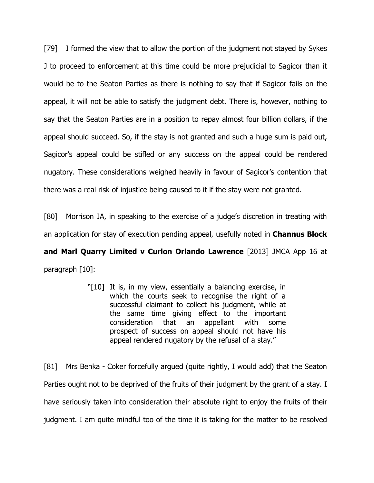[79] I formed the view that to allow the portion of the judgment not stayed by Sykes J to proceed to enforcement at this time could be more prejudicial to Sagicor than it would be to the Seaton Parties as there is nothing to say that if Sagicor fails on the appeal, it will not be able to satisfy the judgment debt. There is, however, nothing to say that the Seaton Parties are in a position to repay almost four billion dollars, if the appeal should succeed. So, if the stay is not granted and such a huge sum is paid out, Sagicor's appeal could be stifled or any success on the appeal could be rendered nugatory. These considerations weighed heavily in favour of Sagicor's contention that there was a real risk of injustice being caused to it if the stay were not granted.

[80] Morrison JA, in speaking to the exercise of a judge's discretion in treating with an application for stay of execution pending appeal, usefully noted in **Channus Block** 

**and Marl Quarry Limited v Curlon Orlando Lawrence** [2013] JMCA App 16 at paragraph [10]:

> "[10] It is, in my view, essentially a balancing exercise, in which the courts seek to recognise the right of a successful claimant to collect his judgment, while at the same time giving effect to the important consideration that an appellant with some prospect of success on appeal should not have his appeal rendered nugatory by the refusal of a stay."

[81] Mrs Benka - Coker forcefully argued (quite rightly, I would add) that the Seaton Parties ought not to be deprived of the fruits of their judgment by the grant of a stay. I have seriously taken into consideration their absolute right to enjoy the fruits of their judgment. I am quite mindful too of the time it is taking for the matter to be resolved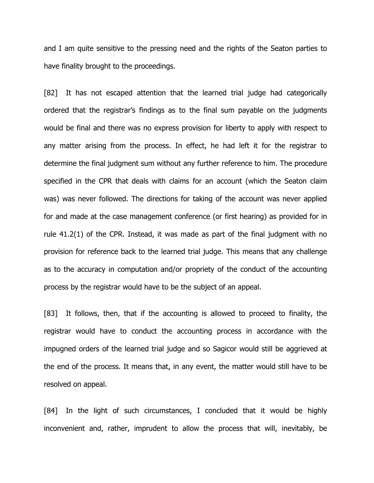and I am quite sensitive to the pressing need and the rights of the Seaton parties to have finality brought to the proceedings.

[82] It has not escaped attention that the learned trial judge had categorically ordered that the registrar's findings as to the final sum payable on the judgments would be final and there was no express provision for liberty to apply with respect to any matter arising from the process. In effect, he had left it for the registrar to determine the final judgment sum without any further reference to him. The procedure specified in the CPR that deals with claims for an account (which the Seaton claim was) was never followed. The directions for taking of the account was never applied for and made at the case management conference (or first hearing) as provided for in rule 41.2(1) of the CPR. Instead, it was made as part of the final judgment with no provision for reference back to the learned trial judge. This means that any challenge as to the accuracy in computation and/or propriety of the conduct of the accounting process by the registrar would have to be the subject of an appeal.

[83] It follows, then, that if the accounting is allowed to proceed to finality, the registrar would have to conduct the accounting process in accordance with the impugned orders of the learned trial judge and so Sagicor would still be aggrieved at the end of the process. It means that, in any event, the matter would still have to be resolved on appeal.

[84] In the light of such circumstances, I concluded that it would be highly inconvenient and, rather, imprudent to allow the process that will, inevitably, be